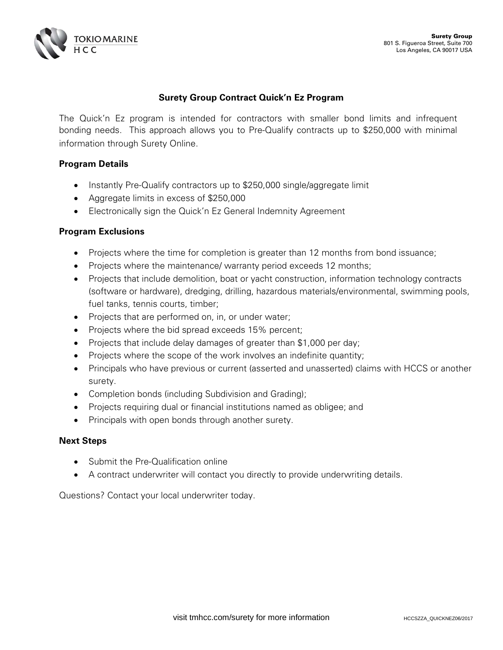

## **Surety Group Contract Quick'n Ez Program**

The Quick'n Ez program is intended for contractors with smaller bond limits and infrequent bonding needs. This approach allows you to Pre-Qualify contracts up to \$250,000 with minimal information through Surety Online.

### **Program Details**

- Instantly Pre-Qualify contractors up to \$250,000 single/aggregate limit
- Aggregate limits in excess of \$250,000
- Electronically sign the Quick'n Ez General Indemnity Agreement

### **Program Exclusions**

- Projects where the time for completion is greater than 12 months from bond issuance;
- Projects where the maintenance/ warranty period exceeds 12 months;
- Projects that include demolition, boat or yacht construction, information technology contracts (software or hardware), dredging, drilling, hazardous materials/environmental, swimming pools, fuel tanks, tennis courts, timber;
- Projects that are performed on, in, or under water;
- Projects where the bid spread exceeds 15% percent;
- Projects that include delay damages of greater than \$1,000 per day;
- Projects where the scope of the work involves an indefinite quantity;
- Principals who have previous or current (asserted and unasserted) claims with HCCS or another surety.
- Completion bonds (including Subdivision and Grading);
- Projects requiring dual or financial institutions named as obligee; and
- Principals with open bonds through another surety.

#### **Next Steps**

- Submit the Pre-Qualification online
- A contract underwriter will contact you directly to provide underwriting details.

Questions? Contact your local underwriter today.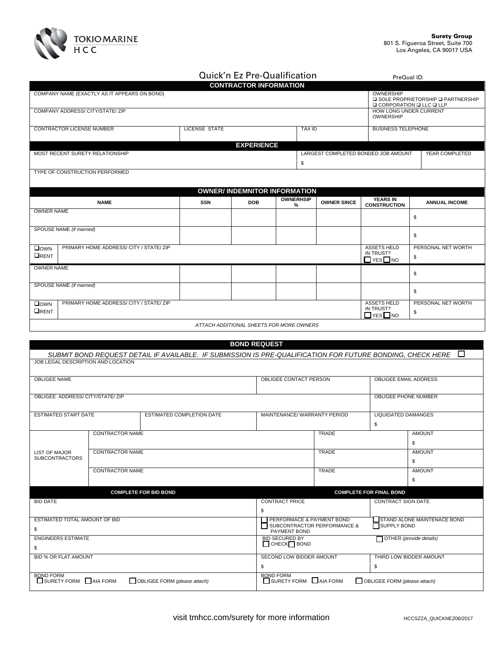

|                                                                 |                                         |                              |                             |            | Quick'n Ez Pre-Qualification             |                  |                                     | PreQual ID:                                                 |                                                                                                                   |  |
|-----------------------------------------------------------------|-----------------------------------------|------------------------------|-----------------------------|------------|------------------------------------------|------------------|-------------------------------------|-------------------------------------------------------------|-------------------------------------------------------------------------------------------------------------------|--|
| <b>CONTRACTOR INFORMATION</b>                                   |                                         |                              |                             |            |                                          |                  |                                     |                                                             |                                                                                                                   |  |
| COMPANY NAME (EXACTLY AS IT APPEARS ON BOND)                    |                                         |                              |                             |            |                                          |                  |                                     | OWNERSHIP                                                   | <b>□ SOLE PROPRIETORSHIP □ PARTNERSHIP</b><br><b>Q CORPORATION Q LLC Q LLP</b>                                    |  |
| COMPANY ADDRESS/ CITY/STATE/ ZIP                                |                                         |                              |                             |            |                                          |                  |                                     | HOW LONG UNDER CURRENT<br>OWNERSHIP                         |                                                                                                                   |  |
| <b>CONTRACTOR LICENSE NUMBER</b>                                |                                         |                              | <b>LICENSE STATE</b>        |            |                                          | <b>TAX ID</b>    |                                     | <b>BUSINESS TELEPHONE</b>                                   |                                                                                                                   |  |
| MOST RECENT SURETY RELATIONSHIP                                 |                                         |                              |                             |            | <b>EXPERIENCE</b>                        |                  | LARGEST COMPLETED BONDED JOB AMOUNT |                                                             | YEAR COMPLETED                                                                                                    |  |
|                                                                 |                                         |                              |                             |            |                                          | \$               |                                     |                                                             |                                                                                                                   |  |
| TYPE OF CONSTRUCTION PERFORMED                                  |                                         |                              |                             |            |                                          |                  |                                     |                                                             |                                                                                                                   |  |
|                                                                 |                                         |                              |                             |            | <b>OWNER/ INDEMNITOR INFORMATION</b>     | <b>OWNERHSIP</b> |                                     | <b>YEARS IN</b>                                             |                                                                                                                   |  |
|                                                                 | <b>NAME</b>                             |                              | <b>SSN</b>                  | <b>DOB</b> |                                          | %                | <b>OWNER SINCE</b>                  | <b>CONSTRUCTION</b>                                         | <b>ANNUAL INCOME</b>                                                                                              |  |
| <b>OWNER NAME</b>                                               |                                         |                              |                             |            |                                          |                  |                                     |                                                             | \$                                                                                                                |  |
| SPOUSE NAME (if married)                                        |                                         |                              |                             |            |                                          |                  |                                     |                                                             | \$                                                                                                                |  |
| $\square$ own<br>ORENT                                          | PRIMARY HOME ADDRESS/ CITY / STATE/ ZIP |                              |                             |            |                                          |                  |                                     | <b>ASSETS HELD</b><br>IN TRUST?<br>$\Box$ YES $\Box$ NO     | PERSONAL NET WORTH<br>\$                                                                                          |  |
| <b>OWNER NAME</b>                                               |                                         |                              |                             |            |                                          |                  |                                     |                                                             | \$                                                                                                                |  |
| SPOUSE NAME (if married)                                        |                                         |                              |                             |            |                                          |                  |                                     |                                                             | \$                                                                                                                |  |
| $\square$ OWN<br>ORENT                                          | PRIMARY HOME ADDRESS/ CITY / STATE/ ZIP |                              |                             |            |                                          |                  |                                     | <b>ASSETS HELD</b><br>IN TRUST?<br>$\Box$ yes $\Box$ no     | PERSONAL NET WORTH<br>\$                                                                                          |  |
|                                                                 |                                         |                              |                             |            | ATTACH ADDITIONAL SHEETS FOR MORE OWNERS |                  |                                     |                                                             |                                                                                                                   |  |
|                                                                 |                                         |                              |                             |            |                                          |                  |                                     |                                                             |                                                                                                                   |  |
|                                                                 |                                         |                              |                             |            | <b>BOND REQUEST</b>                      |                  |                                     |                                                             |                                                                                                                   |  |
| JOB LEGAL DESCRIPTION AND LOCATION                              |                                         |                              |                             |            |                                          |                  |                                     |                                                             | SUBMIT BOND REQUEST DETAIL IF AVAILABLE. IF SUBMISSION IS PRE-QUALIFICATION FOR FUTURE BONDING, CHECK HERE $\Box$ |  |
| <b>OBLIGEE NAME</b>                                             |                                         |                              |                             |            | OBLIGEE CONTACT PERSON                   |                  |                                     | OBLIGEE EMAIL ADDRESS                                       |                                                                                                                   |  |
|                                                                 |                                         |                              |                             |            |                                          |                  |                                     |                                                             |                                                                                                                   |  |
| OBLIGEE ADDRESS/ CITY/STATE/ ZIP                                |                                         |                              |                             |            |                                          |                  |                                     | <b>OBLIGEE PHONE NUMBER</b>                                 |                                                                                                                   |  |
| <b>ESTIMATED START DATE</b><br><b>ESTIMATED COMPLETION DATE</b> |                                         |                              | MAINTENANCE/WARRANTY PERIOD |            | <b>LIQUIDATED DAMANGES</b><br>\$         |                  |                                     |                                                             |                                                                                                                   |  |
|                                                                 | <b>CONTRACTOR NAME</b>                  |                              |                             |            |                                          |                  | <b>TRADE</b>                        |                                                             | <b>AMOUNT</b>                                                                                                     |  |
| <b>LIST OF MAJOR</b>                                            | <b>CONTRACTOR NAME</b>                  |                              |                             |            | TRADE                                    |                  |                                     | \$<br><b>AMOUNT</b>                                         |                                                                                                                   |  |
| <b>SUBCONTRACTORS</b>                                           |                                         |                              |                             |            |                                          |                  |                                     | \$                                                          |                                                                                                                   |  |
|                                                                 | <b>CONTRACTOR NAME</b>                  |                              |                             |            | <b>TRADE</b>                             |                  |                                     | <b>AMOUNT</b>                                               |                                                                                                                   |  |
|                                                                 |                                         |                              |                             |            |                                          |                  |                                     |                                                             | \$                                                                                                                |  |
| <b>BID DATE</b>                                                 |                                         | <b>COMPLETE FOR BID BOND</b> |                             |            | <b>CONTRACT PRICE</b>                    |                  |                                     | <b>COMPLETE FOR FINAL BOND</b><br><b>CONTRACT SIGN DATE</b> |                                                                                                                   |  |

| <b>BID DATE</b>                                                                        | <b>CONTRACT PRICE</b>                                  | <b>CONTRACT SIGN DATE</b>          |
|----------------------------------------------------------------------------------------|--------------------------------------------------------|------------------------------------|
|                                                                                        |                                                        |                                    |
| ESTIMATED TOTAL AMOUNT OF BID                                                          | PERFORMACE & PAYMENT BOND                              | <b>STAND ALONE MAINTENACE BOND</b> |
|                                                                                        | SUBCONTRACTOR PERFORMANCE &<br>PAYMENT BOND            | SUPPLY BOND                        |
| <b>ENGINEERS ESTIMATE</b>                                                              | <b>BID SECURED BY</b>                                  | OTHER (provide details)            |
|                                                                                        | $\Box$ CHECK $\Box$ BOND                               |                                    |
| <b>BID % OR FLAT AMOUNT</b>                                                            | SECOND LOW BIDDER AMOUNT                               | THIRD LOW BIDDER AMOUNT            |
|                                                                                        |                                                        |                                    |
| <b>BOND FORM</b><br>$\Box$ SURETY FORM $\Box$ AIA FORM<br>OBLIGEE FORM (please attach) | <b>BOND FORM</b><br>$\Box$ SURETY FORM $\Box$ AIA FORM | OBLIGEE FORM (please attach)       |